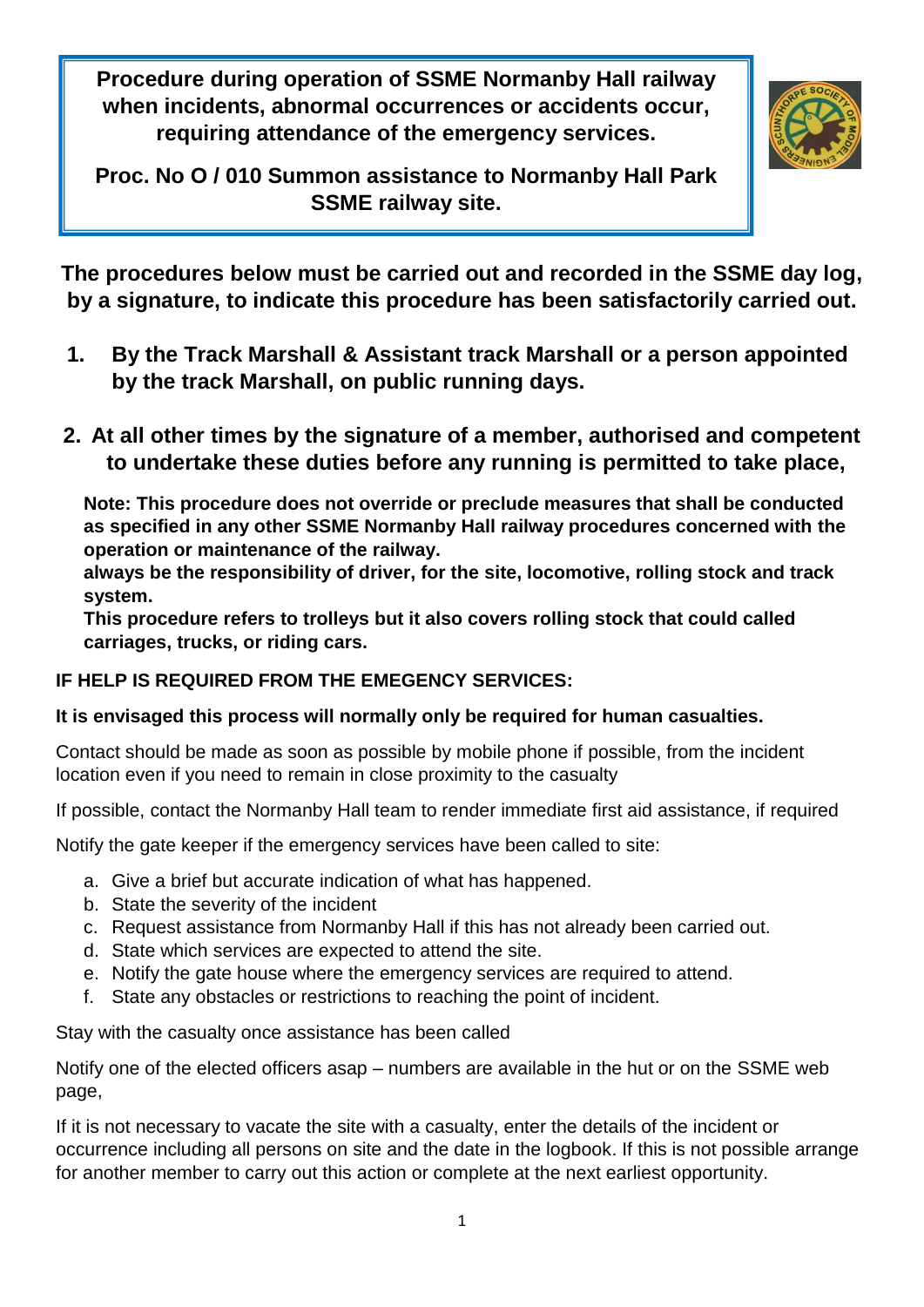**Procedure during operation of SSME Normanby Hall railway when incidents, abnormal occurrences or accidents occur, requiring attendance of the emergency services.**



**Proc. No O / 010 Summon assistance to Normanby Hall Park SSME railway site.**

**The procedures below must be carried out and recorded in the SSME day log, by a signature, to indicate this procedure has been satisfactorily carried out.**

- **1. By the Track Marshall & Assistant track Marshall or a person appointed by the track Marshall, on public running days.**
- **2. At all other times by the signature of a member, authorised and competent to undertake these duties before any running is permitted to take place,**

**Note: This procedure does not override or preclude measures that shall be conducted as specified in any other SSME Normanby Hall railway procedures concerned with the operation or maintenance of the railway.**

**always be the responsibility of driver, for the site, locomotive, rolling stock and track system.**

**This procedure refers to trolleys but it also covers rolling stock that could called carriages, trucks, or riding cars.**

## **IF HELP IS REQUIRED FROM THE EMEGENCY SERVICES:**

## **It is envisaged this process will normally only be required for human casualties.**

Contact should be made as soon as possible by mobile phone if possible, from the incident location even if you need to remain in close proximity to the casualty

If possible, contact the Normanby Hall team to render immediate first aid assistance, if required

Notify the gate keeper if the emergency services have been called to site:

- a. Give a brief but accurate indication of what has happened.
- b. State the severity of the incident
- c. Request assistance from Normanby Hall if this has not already been carried out.
- d. State which services are expected to attend the site.
- e. Notify the gate house where the emergency services are required to attend.
- f. State any obstacles or restrictions to reaching the point of incident.

Stay with the casualty once assistance has been called

Notify one of the elected officers asap – numbers are available in the hut or on the SSME web page,

If it is not necessary to vacate the site with a casualty, enter the details of the incident or occurrence including all persons on site and the date in the logbook. If this is not possible arrange for another member to carry out this action or complete at the next earliest opportunity.